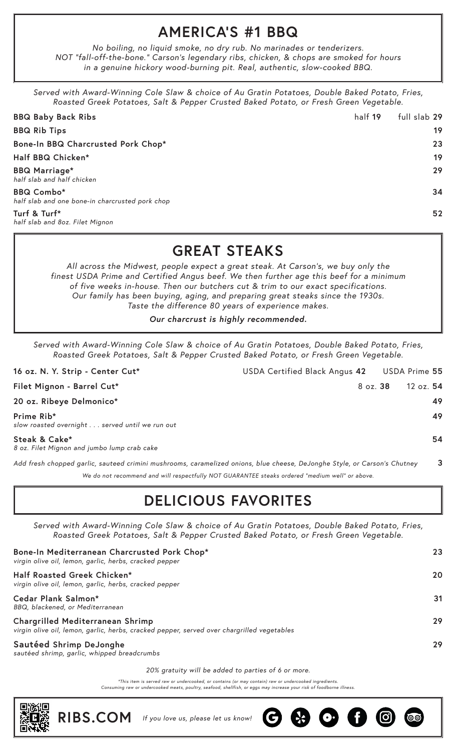#### **AMERICA'S #1 BBQ**

*No boiling, no liquid smoke, no dry rub. No marinades or tenderizers. NOT "fall-off-the-bone." Carson's legendary ribs, chicken, & chops are smoked for hours in a genuine hickory wood-burning pit. Real, authentic, slow-cooked BBQ.*

*Served with Award-Winning Cole Slaw & choice of Au Gratin Potatoes, Double Baked Potato, Fries, Roasted Greek Potatoes, Salt & Pepper Crusted Baked Potato, or Fresh Green Vegetable.*

| <b>BBQ Baby Back Ribs</b>                                            | half 19 | full slab 29 |
|----------------------------------------------------------------------|---------|--------------|
| <b>BBQ Rib Tips</b>                                                  |         | 19           |
| Bone-In BBQ Charcrusted Pork Chop*                                   |         | 23           |
| Half BBQ Chicken*                                                    |         | 19           |
| <b>BBQ Marriage*</b><br>half slab and half chicken                   |         | 29           |
| <b>BBQ Combo*</b><br>half slab and one bone-in charcrusted pork chop |         | 34           |
| Turf & Turf*<br>half slab and 80z. Filet Mignon                      |         | 52           |

#### **GREAT STEAKS**

*All across the Midwest, people expect a great steak. At Carson's, we buy only the finest USDA Prime and Certified Angus beef. We then further age this beef for a minimum of five weeks in-house. Then our butchers cut & trim to our exact specifications. Our family has been buying, aging, and preparing great steaks since the 1930s. Taste the difference 80 years of experience makes.*

*Our charcrust is highly recommended.*

*Served with Award-Winning Cole Slaw & choice of Au Gratin Potatoes, Double Baked Potato, Fries, Roasted Greek Potatoes, Salt & Pepper Crusted Baked Potato, or Fresh Green Vegetable.*

| 16 oz. N. Y. Strip - Center Cut*                                                                                          | USDA Certified Black Angus 42 |                 | USDA Prime 55 |    |
|---------------------------------------------------------------------------------------------------------------------------|-------------------------------|-----------------|---------------|----|
| Filet Mignon - Barrel Cut*                                                                                                |                               | 8 oz. <b>38</b> | 12 oz. 54     |    |
| 20 oz. Ribeye Delmonico*                                                                                                  |                               |                 |               | 49 |
| Prime Rib*<br>slow roasted overnight served until we run out                                                              |                               |                 |               | 49 |
| Steak & Cake*<br>8 oz. Filet Mignon and jumbo lump crab cake                                                              |                               |                 |               | 54 |
| Add fresh chopped garlic, sauteed crimini mushrooms, caramelized onions, blue cheese, DeJonghe Style, or Carson's Chutney |                               |                 |               | 3  |

*We do not recommend and will respectfully NOT GUARANTEE steaks ordered "medium well" or above.*

## **DELICIOUS FAVORITES**

*Served with Award-Winning Cole Slaw & choice of Au Gratin Potatoes, Double Baked Potato, Fries, Roasted Greek Potatoes, Salt & Pepper Crusted Baked Potato, or Fresh Green Vegetable.*

| Bone-In Mediterranean Charcrusted Pork Chop*<br>virgin olive oil, lemon, garlic, herbs, cracked pepper                                | 23 |
|---------------------------------------------------------------------------------------------------------------------------------------|----|
| Half Roasted Greek Chicken*<br>virgin olive oil, lemon, garlic, herbs, cracked pepper                                                 | 20 |
| Cedar Plank Salmon*<br>BBQ, blackened, or Mediterranean                                                                               | 31 |
| <b>Chargrilled Mediterranean Shrimp</b><br>virgin olive oil, lemon, garlic, herbs, cracked pepper, served over chargrilled vegetables | 29 |
| Sautéed Shrimp DeJonghe<br>sautéed shrimp, garlic, whipped breadcrumbs                                                                | 29 |

*20% gratuity will be added to parties of 6 or more.*

*\*This item is served raw or undercooked, or contains (or may contain) raw or undercooked ingredients. Consuming raw or undercooked meats, poultry, seafood, shellfish, or eggs may increase your risk of foodborne illness.*



**RIBS.COM** *If you love us, please let us know!*